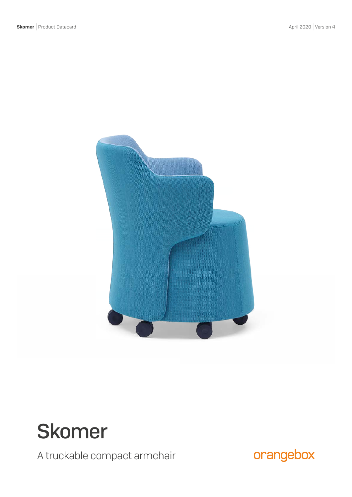

# Skomer

A truckable compact armchair

orangebox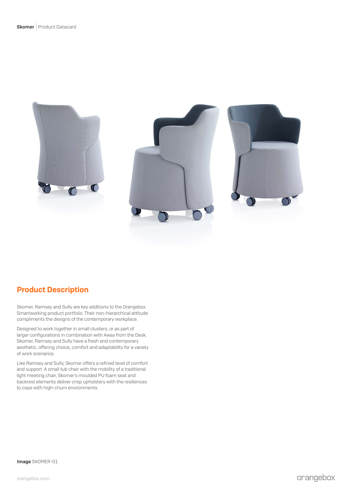

# Product Description

Skomer, Ramsey and Sully are key additions to the Orangebox Smartworking product portfolio. Their non-hierarchical attitude compliments the designs of the contemporary workplace.

Designed to work together in small clusters, or as part of larger configurations in combination with Away from the Desk, Skomer, Ramsey and Sully have a fresh and contemporary aesthetic, offering choice, comfort and adaptability for a variety of work scenarios.

Like Ramsey and Sully, Skomer offers a refined level of comfort and support. A small tub chair with the mobility of a traditional light meeting chair, Skomer's moulded PU foam seat and backrest elements deliver crisp upholstery with the resiliences to cope with high-churn environments.

Image SKOMER-01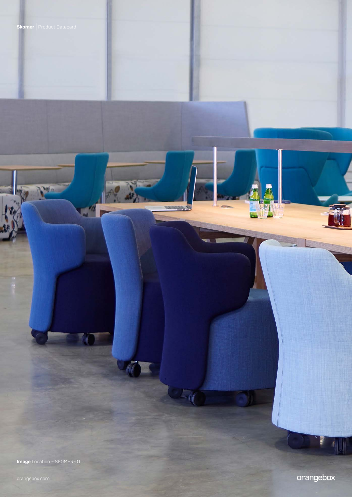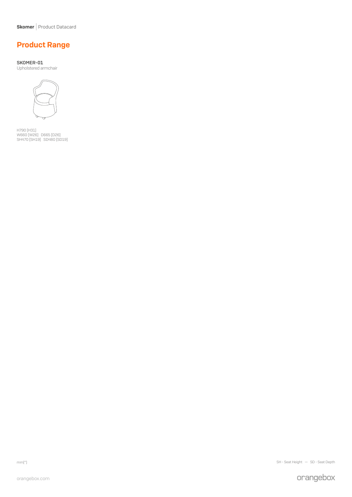Skomer | Product Datacard

# Product Range

SKOMER-01 Upholstered armchair



H790 [H31] W660 [W26] D665 [D26] SH470 [SH19] SD480 [SD19]

mm[″] SH - Seat Height — SD - Seat Depth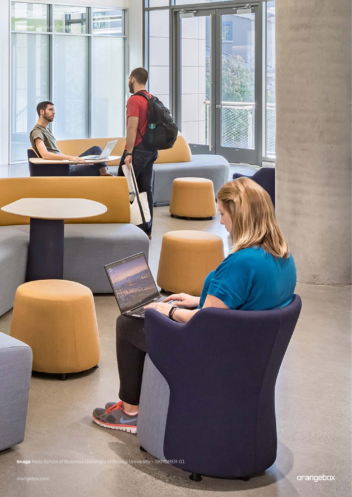Image Hass School of Business University of Berkley University – SKMOMER-01

 $\bm{\mathsf{mer}} \mid \mathsf{Prod}$ ud

R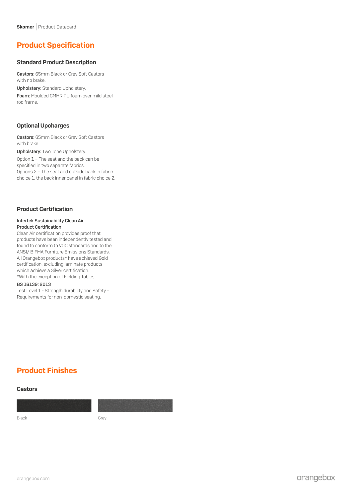# Product Specification

### Standard Product Description

Castors: 65mm Black or Grey Soft Castors with no brake.

Upholstery: Standard Upholstery.

Foam: Moulded CMHR PU foam over mild steel rod frame.

## Optional Upcharges

Castors: 65mm Black or Grey Soft Castors with brake.

Upholstery: Two Tone Upholstery.

Option 1 – The seat and the back can be specified in two separate fabrics. Options 2 – The seat and outside back in fabric choice 1, the back inner panel in fabric choice 2.

## Product Certification

#### Intertek Sustainability Clean Air Product Certification

Clean Air certification provides proof that products have been independently tested and found to conform to VOC standards and to the ANSI/ BIFMA Furniture Emissions Standards. All Orangebox products\* have achieved Gold certification, excluding laminate products which achieve a Silver certification. \*With the exception of Fielding Tables.

#### BS 16139: 2013

Test Level 1 - Strenglh durability and Safety - Requirements for non-domestic seating.

# Product Finishes

#### Castors